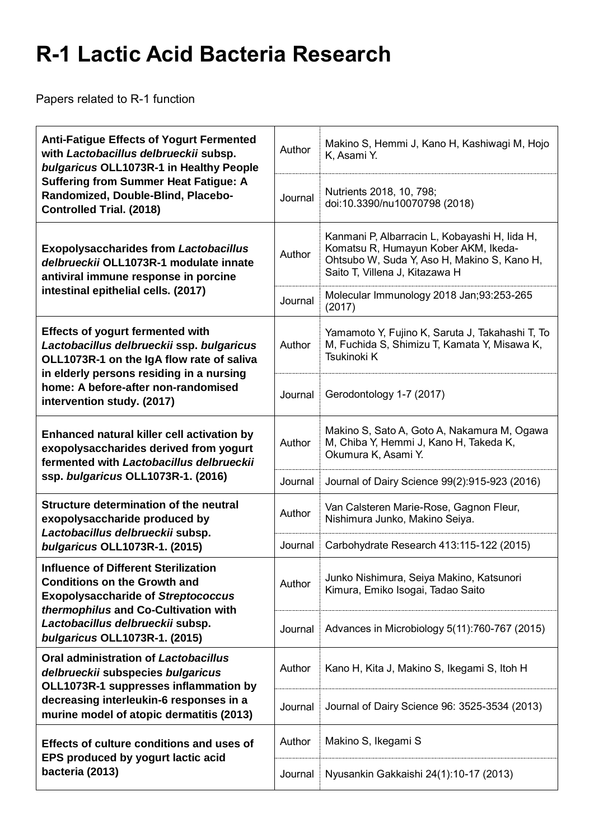## **R-1 Lactic Acid Bacteria Research**

Papers related to R-1 function

| <b>Anti-Fatigue Effects of Yogurt Fermented</b><br>with Lactobacillus delbrueckii subsp.<br>bulgaricus OLL1073R-1 in Healthy People<br><b>Suffering from Summer Heat Fatigue: A</b><br>Randomized, Double-Blind, Placebo-<br><b>Controlled Trial. (2018)</b> | Author  | Makino S, Hemmi J, Kano H, Kashiwagi M, Hojo<br>K, Asami Y.                                                                                                            |
|--------------------------------------------------------------------------------------------------------------------------------------------------------------------------------------------------------------------------------------------------------------|---------|------------------------------------------------------------------------------------------------------------------------------------------------------------------------|
|                                                                                                                                                                                                                                                              | Journal | Nutrients 2018, 10, 798;<br>doi:10.3390/nu10070798 (2018)                                                                                                              |
| <b>Exopolysaccharides from Lactobacillus</b><br>delbrueckii OLL1073R-1 modulate innate<br>antiviral immune response in porcine<br>intestinal epithelial cells. (2017)                                                                                        | Author  | Kanmani P, Albarracin L, Kobayashi H, Iida H,<br>Komatsu R, Humayun Kober AKM, Ikeda-<br>Ohtsubo W, Suda Y, Aso H, Makino S, Kano H,<br>Saito T, Villena J, Kitazawa H |
|                                                                                                                                                                                                                                                              | Journal | Molecular Immunology 2018 Jan;93:253-265<br>(2017)                                                                                                                     |
| <b>Effects of yogurt fermented with</b><br>Lactobacillus delbrueckii ssp. bulgaricus<br>OLL1073R-1 on the IgA flow rate of saliva<br>in elderly persons residing in a nursing<br>home: A before-after non-randomised<br>intervention study. (2017)           | Author  | Yamamoto Y, Fujino K, Saruta J, Takahashi T, To<br>M, Fuchida S, Shimizu T, Kamata Y, Misawa K,<br>Tsukinoki K                                                         |
|                                                                                                                                                                                                                                                              | Journal | Gerodontology 1-7 (2017)                                                                                                                                               |
| Enhanced natural killer cell activation by<br>exopolysaccharides derived from yogurt<br>fermented with Lactobacillus delbrueckii<br>ssp. bulgaricus OLL1073R-1. (2016)                                                                                       | Author  | Makino S, Sato A, Goto A, Nakamura M, Ogawa<br>M, Chiba Y, Hemmi J, Kano H, Takeda K,<br>Okumura K, Asami Y.                                                           |
|                                                                                                                                                                                                                                                              | Journal | Journal of Dairy Science 99(2):915-923 (2016)                                                                                                                          |
| Structure determination of the neutral<br>exopolysaccharide produced by<br>Lactobacillus delbrueckii subsp.                                                                                                                                                  | Author  | Van Calsteren Marie-Rose, Gagnon Fleur,<br>Nishimura Junko, Makino Seiya.                                                                                              |
| bulgaricus OLL1073R-1. (2015)                                                                                                                                                                                                                                | Journal | Carbohydrate Research 413:115-122 (2015)                                                                                                                               |
| <b>Influence of Different Sterilization</b><br><b>Conditions on the Growth and</b><br><b>Exopolysaccharide of Streptococcus</b><br>thermophilus and Co-Cultivation with                                                                                      | Author  | Junko Nishimura, Seiya Makino, Katsunori<br>Kimura, Emiko Isogai, Tadao Saito                                                                                          |
| Lactobacillus delbrueckii subsp.<br>bulgaricus OLL1073R-1. (2015)                                                                                                                                                                                            | Journal | Advances in Microbiology 5(11):760-767 (2015)                                                                                                                          |
| Oral administration of Lactobacillus<br>delbrueckii subspecies bulgaricus<br>OLL1073R-1 suppresses inflammation by<br>decreasing interleukin-6 responses in a<br>murine model of atopic dermatitis (2013)                                                    | Author  | Kano H, Kita J, Makino S, Ikegami S, Itoh H                                                                                                                            |
|                                                                                                                                                                                                                                                              | Journal | Journal of Dairy Science 96: 3525-3534 (2013)                                                                                                                          |
| Effects of culture conditions and uses of<br>EPS produced by yogurt lactic acid<br>bacteria (2013)                                                                                                                                                           | Author  | Makino S, Ikegami S                                                                                                                                                    |
|                                                                                                                                                                                                                                                              | Journal | Nyusankin Gakkaishi 24(1):10-17 (2013)                                                                                                                                 |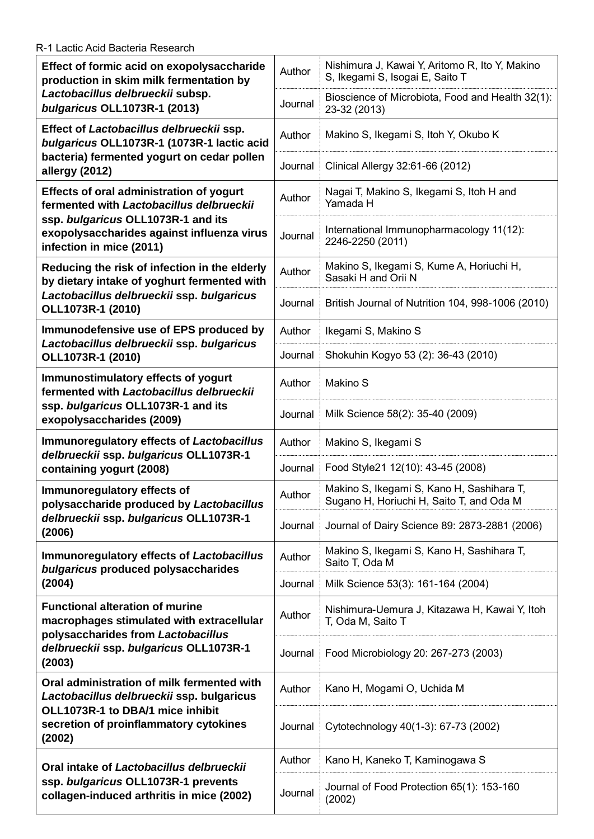Π

| Effect of formic acid on exopolysaccharide<br>production in skim milk fermentation by<br>Lactobacillus delbrueckii subsp.<br>bulgaricus OLL1073R-1 (2013)                                            | Author  | Nishimura J, Kawai Y, Aritomo R, Ito Y, Makino<br>S, Ikegami S, Isogai E, Saito T     |
|------------------------------------------------------------------------------------------------------------------------------------------------------------------------------------------------------|---------|---------------------------------------------------------------------------------------|
|                                                                                                                                                                                                      | Journal | Bioscience of Microbiota, Food and Health 32(1):<br>23-32 (2013)                      |
| Effect of Lactobacillus delbrueckii ssp.<br>bulgaricus OLL1073R-1 (1073R-1 lactic acid<br>bacteria) fermented yogurt on cedar pollen<br>allergy (2012)                                               | Author  | Makino S, Ikegami S, Itoh Y, Okubo K                                                  |
|                                                                                                                                                                                                      | Journal | Clinical Allergy 32:61-66 (2012)                                                      |
| Effects of oral administration of yogurt<br>fermented with Lactobacillus delbrueckii<br>ssp. bulgaricus OLL1073R-1 and its<br>exopolysaccharides against influenza virus<br>infection in mice (2011) | Author  | Nagai T, Makino S, Ikegami S, Itoh H and<br>Yamada H                                  |
|                                                                                                                                                                                                      | Journal | International Immunopharmacology 11(12):<br>2246-2250 (2011)                          |
| Reducing the risk of infection in the elderly<br>by dietary intake of yoghurt fermented with<br>Lactobacillus delbrueckii ssp. bulgaricus<br>OLL1073R-1 (2010)                                       | Author  | Makino S, Ikegami S, Kume A, Horiuchi H,<br>Sasaki H and Orii N                       |
|                                                                                                                                                                                                      | Journal | British Journal of Nutrition 104, 998-1006 (2010)                                     |
| Immunodefensive use of EPS produced by<br>Lactobacillus delbrueckii ssp. bulgaricus<br>OLL1073R-1 (2010)                                                                                             | Author  | Ikegami S, Makino S                                                                   |
|                                                                                                                                                                                                      | Journal | Shokuhin Kogyo 53 (2): 36-43 (2010)                                                   |
| Immunostimulatory effects of yogurt<br>fermented with Lactobacillus delbrueckii<br>ssp. bulgaricus OLL1073R-1 and its<br>exopolysaccharides (2009)                                                   | Author  | Makino S                                                                              |
|                                                                                                                                                                                                      | Journal | Milk Science 58(2): 35-40 (2009)                                                      |
| Immunoregulatory effects of Lactobacillus<br>delbrueckii ssp. bulgaricus OLL1073R-1                                                                                                                  | Author  | Makino S, Ikegami S                                                                   |
| containing yogurt (2008)                                                                                                                                                                             | Journal | Food Style21 12(10): 43-45 (2008)                                                     |
| Immunoregulatory effects of<br>polysaccharide produced by Lactobacillus<br>delbrueckii ssp. bulgaricus OLL1073R-1<br>(2006)                                                                          | Author  | Makino S, Ikegami S, Kano H, Sashihara T,<br>Sugano H, Horiuchi H, Saito T, and Oda M |
|                                                                                                                                                                                                      | Journal | Journal of Dairy Science 89: 2873-2881 (2006)                                         |
| Immunoregulatory effects of Lactobacillus<br>bulgaricus produced polysaccharides                                                                                                                     | Author  | Makino S, Ikegami S, Kano H, Sashihara T,<br>Saito T, Oda M                           |
| (2004)                                                                                                                                                                                               | Journal | Milk Science 53(3): 161-164 (2004)                                                    |
| <b>Functional alteration of murine</b><br>macrophages stimulated with extracellular<br>polysaccharides from Lactobacillus<br>delbrueckii ssp. bulgaricus OLL1073R-1<br>(2003)                        | Author  | Nishimura-Uemura J, Kitazawa H, Kawai Y, Itoh<br>T, Oda M, Saito T                    |
|                                                                                                                                                                                                      | Journal | Food Microbiology 20: 267-273 (2003)                                                  |
| Oral administration of milk fermented with<br>Lactobacillus delbrueckii ssp. bulgaricus<br>OLL1073R-1 to DBA/1 mice inhibit<br>secretion of proinflammatory cytokines<br>(2002)                      | Author  | Kano H, Mogami O, Uchida M                                                            |
|                                                                                                                                                                                                      | Journal | Cytotechnology 40(1-3): 67-73 (2002)                                                  |
| Oral intake of Lactobacillus delbrueckii<br>ssp. bulgaricus OLL1073R-1 prevents<br>collagen-induced arthritis in mice (2002)                                                                         | Author  | Kano H, Kaneko T, Kaminogawa S                                                        |
|                                                                                                                                                                                                      | Journal | Journal of Food Protection 65(1): 153-160<br>(2002)                                   |